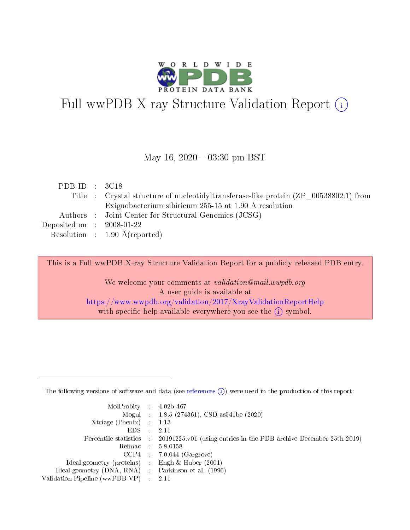

# Full wwPDB X-ray Structure Validation Report (i)

#### May 16,  $2020 - 03:30$  pm BST

| PDB ID : $3C18$                      |                                                                                       |
|--------------------------------------|---------------------------------------------------------------------------------------|
|                                      | Title : Crystal structure of nucleotidyltransferase-like protein (ZP 00538802.1) from |
|                                      | Exiguobacterium sibiricum 255-15 at 1.90 A resolution                                 |
|                                      | Authors : Joint Center for Structural Genomics (JCSG)                                 |
| Deposited on $\therefore$ 2008-01-22 |                                                                                       |
|                                      | Resolution : $1.90 \text{ Å}$ (reported)                                              |

This is a Full wwPDB X-ray Structure Validation Report for a publicly released PDB entry.

We welcome your comments at validation@mail.wwpdb.org A user guide is available at <https://www.wwpdb.org/validation/2017/XrayValidationReportHelp> with specific help available everywhere you see the  $(i)$  symbol.

The following versions of software and data (see [references](https://www.wwpdb.org/validation/2017/XrayValidationReportHelp#references)  $(1)$ ) were used in the production of this report:

| $MolProbability$ : 4.02b-467                        |                                                                                            |
|-----------------------------------------------------|--------------------------------------------------------------------------------------------|
|                                                     | Mogul : 1.8.5 (274361), CSD as 541be (2020)                                                |
| Xtriage (Phenix) $: 1.13$                           |                                                                                            |
| EDS :                                               | -2.11                                                                                      |
|                                                     | Percentile statistics : 20191225.v01 (using entries in the PDB archive December 25th 2019) |
| Refmac 58.0158                                      |                                                                                            |
|                                                     | $CCP4$ 7.0.044 (Gargrove)                                                                  |
| Ideal geometry (proteins) : Engh $\&$ Huber (2001)  |                                                                                            |
| Ideal geometry (DNA, RNA) : Parkinson et al. (1996) |                                                                                            |
| Validation Pipeline (wwPDB-VP) : 2.11               |                                                                                            |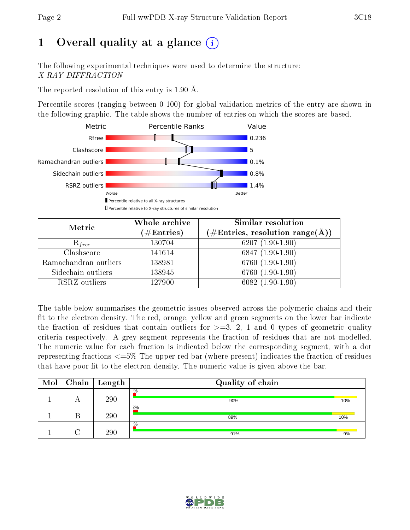# 1 [O](https://www.wwpdb.org/validation/2017/XrayValidationReportHelp#overall_quality)verall quality at a glance  $(i)$

The following experimental techniques were used to determine the structure: X-RAY DIFFRACTION

The reported resolution of this entry is 1.90 Å.

Percentile scores (ranging between 0-100) for global validation metrics of the entry are shown in the following graphic. The table shows the number of entries on which the scores are based.



| Metric                | Whole archive<br>$(\#\text{Entries})$ | Similar resolution<br>(#Entries, resolution range( $\AA$ )) |
|-----------------------|---------------------------------------|-------------------------------------------------------------|
| $R_{free}$            | 130704                                | 6207 $(1.90-1.90)$                                          |
| Clashscore            | 141614                                | $6847(1.90-1.90)$                                           |
| Ramachandran outliers | 138981                                | 6760 (1.90-1.90)                                            |
| Sidechain outliers    | 138945                                | 6760 (1.90-1.90)                                            |
| RSRZ outliers         | 127900                                | $6082(1.90-1.90)$                                           |

The table below summarises the geometric issues observed across the polymeric chains and their fit to the electron density. The red, orange, yellow and green segments on the lower bar indicate the fraction of residues that contain outliers for  $>=3, 2, 1$  and 0 types of geometric quality criteria respectively. A grey segment represents the fraction of residues that are not modelled. The numeric value for each fraction is indicated below the corresponding segment, with a dot representing fractions  $\epsilon=5\%$  The upper red bar (where present) indicates the fraction of residues that have poor fit to the electron density. The numeric value is given above the bar.

| Mol | $\mid$ Chain $\mid$ | Length | Quality of chain |     |
|-----|---------------------|--------|------------------|-----|
|     |                     | 290    | $\%$<br>90%      | 10% |
|     |                     | 290    | 2%<br>89%        | 10% |
|     |                     | 290    | $\%$<br>91%      | 9%  |

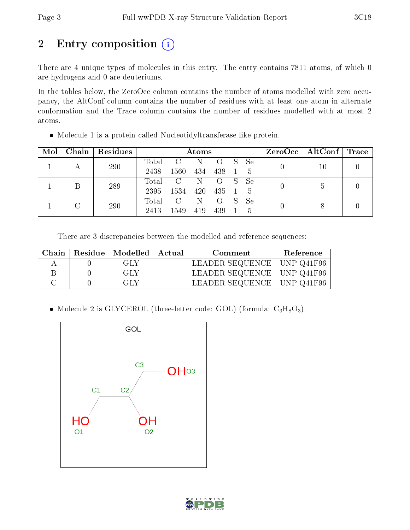# 2 Entry composition (i)

There are 4 unique types of molecules in this entry. The entry contains 7811 atoms, of which 0 are hydrogens and 0 are deuteriums.

In the tables below, the ZeroOcc column contains the number of atoms modelled with zero occupancy, the AltConf column contains the number of residues with at least one atom in alternate conformation and the Trace column contains the number of residues modelled with at most 2 atoms.

| Mol | Chain | Residues |               | Atoms                 |            |                         |    |                               | $ZeroOcc \   \ AltConf \   \ Trace$ |  |
|-----|-------|----------|---------------|-----------------------|------------|-------------------------|----|-------------------------------|-------------------------------------|--|
|     |       | 290      | Total<br>2438 | $\rm C$<br>1560       | - N<br>434 | $\Omega$<br>438         | S. | Se<br><sup>5</sup>            | 10                                  |  |
|     |       | 289      | Total<br>2395 | $\rm C$<br>1534       | N<br>420   | $\left( \right)$<br>435 | S. | Se<br>-5                      |                                     |  |
|     |       | 290      | Total<br>2413 | $\mathcal{C}$<br>1549 | N<br>419   | $\left($ )<br>439       | S. | <sub>Se</sub><br><sup>5</sup> |                                     |  |

Molecule 1 is a protein called Nucleotidyltransferase-like protein.

There are 3 discrepancies between the modelled and reference sequences:

| Chain | Residue   Modelled   Actual | Comment                      | Reference |
|-------|-----------------------------|------------------------------|-----------|
|       | GLY                         | LEADER SEQUENCE   UNP Q41F96 |           |
|       | GLY                         | LEADER SEQUENCE   UNP Q41F96 |           |
|       | GLY                         | LEADER SEQUENCE   UNP Q41F96 |           |

• Molecule 2 is GLYCEROL (three-letter code: GOL) (formula:  $C_3H_8O_3$ ).



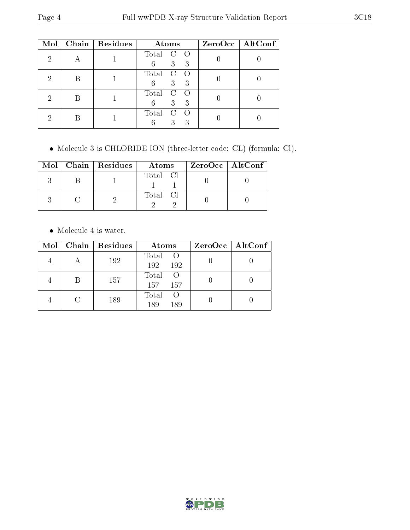| Mol | Chain   Residues | Atoms                                  | $ZeroOcc$   AltConf |
|-----|------------------|----------------------------------------|---------------------|
| ച   |                  | Total<br>C<br>3 <sup>1</sup><br>6<br>3 |                     |
|     |                  | Total<br>C<br>3<br>6<br>3              |                     |
|     |                  | Total<br>C<br>3 <sup>2</sup><br>6<br>3 |                     |
|     |                  | Total<br>C<br>3<br>6<br>3              |                     |

Molecule 3 is CHLORIDE ION (three-letter code: CL) (formula: Cl).

|  | $Mol$   Chain   Residues | Atoms    | $ZeroOcc \mid AltConf \mid$ |
|--|--------------------------|----------|-----------------------------|
|  |                          | Total Cl |                             |
|  |                          | Total Cl |                             |

Molecule 4 is water.

| $\bf{Mol}$ | Chain   Residues | Atoms                       | $ZeroOcc \mid AltConf \mid$ |
|------------|------------------|-----------------------------|-----------------------------|
|            | 192              | Total O<br>192<br>192       |                             |
|            | 157              | Total<br>- ()<br>157<br>157 |                             |
|            | 189              | Total<br>189<br>189         |                             |

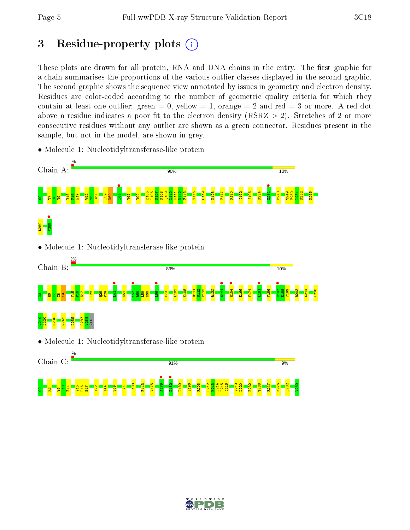K265

 $\frac{14}{14}$ K218

# 3 Residue-property plots  $(i)$

These plots are drawn for all protein, RNA and DNA chains in the entry. The first graphic for a chain summarises the proportions of the various outlier classes displayed in the second graphic. The second graphic shows the sequence view annotated by issues in geometry and electron density. Residues are color-coded according to the number of geometric quality criteria for which they contain at least one outlier: green  $= 0$ , yellow  $= 1$ , orange  $= 2$  and red  $= 3$  or more. A red dot above a residue indicates a poor fit to the electron density (RSRZ  $> 2$ ). Stretches of 2 or more consecutive residues without any outlier are shown as a green connector. Residues present in the sample, but not in the model, are shown in grey.

- Chain A: 90% 10% **•**<br>L66 •  $D234$  • D105 L106 K107 K108 Q109  $\frac{110}{110}$ R111 N112 F113 T116  $\frac{119}{2}$ K128 E177 R180 Q192 S196 K224 M243 T249 E250  $\frac{13}{251}$ K252 <mark>iet in S</mark>  $\frac{16}{2}$  $\frac{1}{12}$  $\frac{152}{2}$  $\frac{3}{2}$  $54$  $\frac{8}{2}$ N60 V69  $\frac{8}{10}$ **v**<sub>289</sub> L282 • Molecule 1: Nucleotidyltransferase-like protein Chain B: 89% 10%  $\begin{bmatrix} 1 \\ 1 \end{bmatrix}$ Y57 •  $\frac{166}{16}$ S<sub>141</sub> • H154 •  $\frac{1}{181}$ E197 • L103 K108 R111  $\frac{12}{2}$ F113 R132 E166 V174 V186 E198 T199 R203 Y15  $\frac{1}{2}$ E17  $\frac{22}{12}$  $\frac{28}{2}$  $\frac{8}{2}$  $\overline{\mathbf{E}}$  $\frac{8}{2}$  $\frac{159}{2}$ N60 V73 G0R6T7I8Y9  $\frac{9}{219}$ L220 M230 M243 L255 P287 V288 VAL • Molecule 1: Nucleotidyltransferase-like protein Chain C: 91% 9% • 64TV **b**182 L103 F113 V175 L189 S196 R203 E212  $\frac{12}{12}$ L214 L215 Q216 V219 L220 E232 T238 R247 K276 L282 V289gn<mark>gh</mark> g<mark>e</mark>d Y15 P16  $\frac{1}{12}$  $\frac{22}{2}$  $\frac{1}{4}$ V69  $L74$
- Molecule 1: Nucleotidyltransferase-like protein

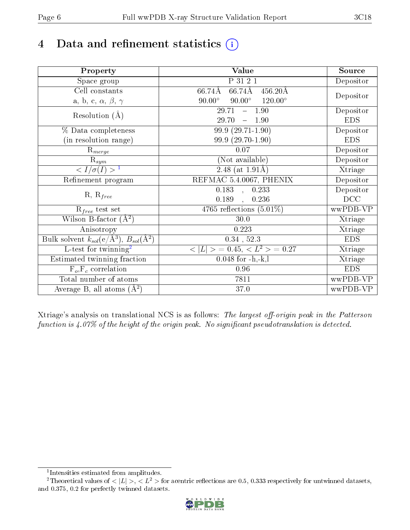# 4 Data and refinement statistics  $(i)$

| Property                                                             | Value                                              | Source     |
|----------------------------------------------------------------------|----------------------------------------------------|------------|
| Space group                                                          | P 31 2 1                                           | Depositor  |
| Cell constants                                                       | $66.74\text{\AA}$<br>$456.20\text{\AA}$<br>66.74Å  |            |
| a, b, c, $\alpha$ , $\beta$ , $\gamma$                               | $90.00^\circ$<br>$120.00^{\circ}$<br>$90.00^\circ$ | Depositor  |
| Resolution $(A)$                                                     | 29.71<br>$-1.90$                                   | Depositor  |
|                                                                      | 29.70<br>1.90                                      | <b>EDS</b> |
| % Data completeness                                                  | $99.9(29.71-1.90)$                                 | Depositor  |
| (in resolution range)                                                | 99.9 (29.70-1.90)                                  | <b>EDS</b> |
| $\mathrm{R}_{merge}$                                                 | 0.07                                               | Depositor  |
| $\mathrm{R}_{sym}$                                                   | (Not available)                                    | Depositor  |
| $\sqrt{I/\sigma(I)} > 1$                                             | $\overline{2.48}$ (at 1.91Å)                       | Xtriage    |
| Refinement program                                                   | REFMAC 5.4.0067, PHENIX                            | Depositor  |
|                                                                      | $\overline{0.183}$ ,<br>0.233                      | Depositor  |
| $R, R_{free}$                                                        | 0.189<br>0.236<br>$\ddot{\phantom{a}}$             | DCC        |
| $R_{free}$ test set                                                  | 4765 reflections $(5.01\%)$                        | wwPDB-VP   |
| Wilson B-factor $(A^2)$                                              | 30.0                                               | Xtriage    |
| Anisotropy                                                           | 0.223                                              | Xtriage    |
| Bulk solvent $k_{sol}(e/\mathring{A}^3)$ , $B_{sol}(\mathring{A}^2)$ | $0.34$ , $52.3$                                    | <b>EDS</b> |
| $\overline{L-test for}$ twinning <sup>2</sup>                        | $< L >$ = 0.45, $< L2$ > = 0.27                    | Xtriage    |
| Estimated twinning fraction                                          | $0.048$ for $-h,-k,l$                              | Xtriage    |
| $F_o, F_c$ correlation                                               | 0.96                                               | <b>EDS</b> |
| Total number of atoms                                                | 7811                                               | wwPDB-VP   |
| Average B, all atoms $(A^2)$                                         | 37.0                                               | wwPDB-VP   |

Xtriage's analysis on translational NCS is as follows: The largest off-origin peak in the Patterson function is  $4.07\%$  of the height of the origin peak. No significant pseudotranslation is detected.

<sup>&</sup>lt;sup>2</sup>Theoretical values of  $\langle |L| \rangle$ ,  $\langle L^2 \rangle$  for acentric reflections are 0.5, 0.333 respectively for untwinned datasets, and 0.375, 0.2 for perfectly twinned datasets.



<span id="page-5-1"></span><span id="page-5-0"></span><sup>1</sup> Intensities estimated from amplitudes.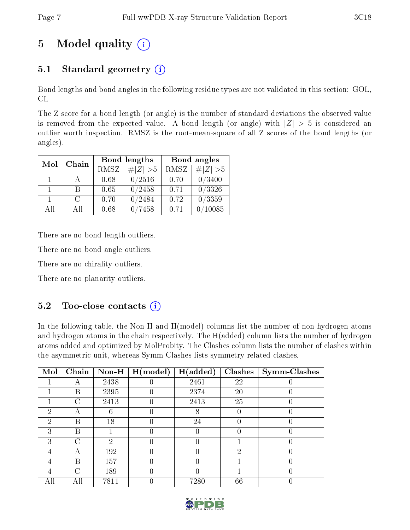# 5 Model quality  $(i)$

# 5.1 Standard geometry  $(i)$

Bond lengths and bond angles in the following residue types are not validated in this section: GOL, CL

The Z score for a bond length (or angle) is the number of standard deviations the observed value is removed from the expected value. A bond length (or angle) with  $|Z| > 5$  is considered an outlier worth inspection. RMSZ is the root-mean-square of all Z scores of the bond lengths (or angles).

| Mol          | Chain  |      | Bond lengths | Bond angles |                 |  |
|--------------|--------|------|--------------|-------------|-----------------|--|
|              |        | RMSZ | $\# Z  > 5$  | RMSZ        | $\ Z\  > 5$     |  |
|              |        | 0.68 | 0/2516       | 0.70        | 0/3400          |  |
| $\mathbf{1}$ | R      | 0.65 | 0/2458       | 0.71        | $\sqrt{0/3326}$ |  |
|              | $\cap$ | 0.70 | 0/2484       | 0.72        | 0/3359          |  |
| All          | ΑĦ     | 0.68 | 7458         | 0.71        | 10085           |  |

There are no bond length outliers.

There are no bond angle outliers.

There are no chirality outliers.

There are no planarity outliers.

### 5.2 Too-close contacts  $(i)$

In the following table, the Non-H and H(model) columns list the number of non-hydrogen atoms and hydrogen atoms in the chain respectively. The H(added) column lists the number of hydrogen atoms added and optimized by MolProbity. The Clashes column lists the number of clashes within the asymmetric unit, whereas Symm-Clashes lists symmetry related clashes.

| Mol           | Chain     | $\bf Non-H$   | H (model) | H(added) | <b>Clashes</b> | Symm-Clashes |
|---------------|-----------|---------------|-----------|----------|----------------|--------------|
|               | А         | 2438          |           | 2461     | 22             |              |
|               | В         | 2395          |           | 2374     | 20             |              |
|               | C         | 2413          |           | 2413     | 25             |              |
| 2             |           |               |           | 8        |                |              |
| $\mathcal{P}$ | В         | 18            |           | 24       |                |              |
| 3             | В         |               |           |          |                |              |
| 3             | $\subset$ | $\mathcal{D}$ |           |          |                |              |
|               |           | 192           |           |          | റ              |              |
| 4             | В         | 157           |           | 0        |                |              |
|               | C         | 189           |           | 0        |                |              |
|               | All       | 7811          |           | 7280     | 66             |              |

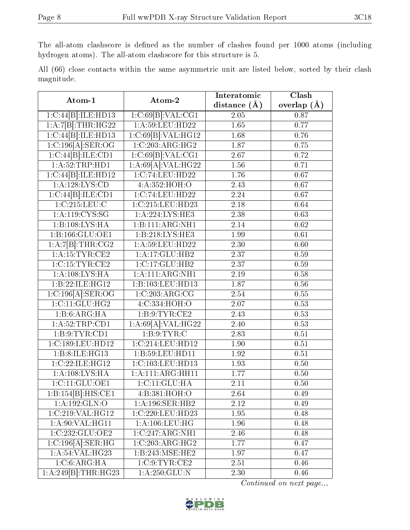The all-atom clashscore is defined as the number of clashes found per 1000 atoms (including hydrogen atoms). The all-atom clashscore for this structure is 5.

|            |  |  | All (66) close contacts within the same asymmetric unit are listed below, sorted by their clash |  |  |  |  |
|------------|--|--|-------------------------------------------------------------------------------------------------|--|--|--|--|
| magnitude. |  |  |                                                                                                 |  |  |  |  |

| Atom-1                         | Atom-2              | Interatomic    | Clash             |
|--------------------------------|---------------------|----------------|-------------------|
|                                |                     | distance $(A)$ | overlap $(\AA)$   |
| 1:C:44[B]:ILE:HD13             | 1:C:69[B]:VAL:CG1   | 2.05           | 0.87              |
| 1:A:7[B]:THR:HG22              | 1: A:59: LEU: HD22  | 1.65           | 0.77              |
| 1:C:44[B]:ILE:HD13             | 1:C:69[B]:VAL:HG12  | 1.68           | 0.76              |
| $1:C:196[A].\overline{SER:OG}$ | 1:C:203:ARG:HG2     | 1.87           | 0.75              |
| 1:C:44[B]:ILE:CD1              | 1:C:69[B]:VAL:CG1   | 2.67           | 0.72              |
| 1: A:52:TRP:HD1                | 1:A:69[A]:VAL:HG22  | 1.56           | 0.71              |
| 1:C:44[B]:ILE:HD12             | 1:C:74:LEU:HD22     | 1.76           | $\overline{0.67}$ |
| 1: A: 128: LYS: CD             | 4:A:352:HOH:O       | 2.43           | 0.67              |
| 1:C:44[B]:ILE:CD1              | 1:C:74:LEU:HD22     | 2.24           | 0.67              |
| 1:C:215:LEU:C                  | 1:C:215:LEU:HD23    | $2.18\,$       | 0.64              |
| 1:A:119:CYS:SG                 | 1:A:224:LYS:HE3     | 2.38           | 0.63              |
| 1:B:108:LYS:HA                 | 1:B:111:ARG:NH1     | 2.14           | 0.62              |
| 1:B:166:GLU:OE1                | 1:B:218:LYS:HE3     | 1.99           | 0.61              |
| 1:A:7[B]:THR:CG2               | 1: A:59: LEU: HD22  | 2.30           | 0.60              |
| 1: A:15:TYR:CE2                | 1:A:17:GLU:HB2      | 2.37           | 0.59              |
| 1:C:15:TYR:CE2                 | 1:C:17:GLU:HB2      | 2.37           | 0.59              |
| 1:A:108:LYS:HA                 | 1:A:111:ARG:NH1     | 2.19           | 0.58              |
| 1:B:22:ILE:HG12                | 1:B:103:LEU:HD13    | 1.87           | $0.56\,$          |
| $1:C:196[A].\text{SER:OG}$     | 1:C:203:ARG:CG      | 2.54           | $0.55\,$          |
| 1:C:11:GLU:HG2                 | 4:C:334:HOH:O       | 2.07           | 0.53              |
| 1:B:6:ARG:HA                   | 1:B:9:TYR:CE2       | 2.43           | 0.53              |
| 1: A:52:TRP:CD1                | 1:A:69[A]:VAL:H G22 | 2.40           | 0.53              |
| 1:B:9:TYR:CD1                  | 1: B: 9: TYR: C     | 2.83           | 0.51              |
| 1:C:189:LEU:HD12               | 1:C:214:LEU:HD12    | 1.90           | $\overline{0.51}$ |
| 1:B:8:ILE:H <sub>G13</sub>     | 1:B:59:LEU:HD11     | 1.92           | 0.51              |
| 1:C:22:ILE:HG12                | 1:C:103:LEU:HD13    | 1.93           | 0.50              |
| 1:A:108:LYS:HA                 | 1:A:111:ARG:HH11    | 1.77           | 0.50              |
| 1:C:11:GLU:OE1                 | 1:C:11:GLU:HA       | 2.11           | 0.50              |
| 1:B:154[B]:HIS:CE1             | 4:B:381:HOH:O       | 2.64           | 0.49              |
| 1:A:192:GLN:O                  | 1:A:196:SER:HB2     | 2.12           | 0.49              |
| 1:C:219:VAL:HG12               | 1:C:220:LEU:HD23    | 1.95           | 0.48              |
| 1: A:90: VAL:HGI1              | 1: A: 106: LEU: HG  | 1.96           | 0.48              |
| 1:C:232:GLU:OE2                | 1:C:247:ARG:NH1     | 2.46           | 0.48              |
| 1:C:196[A].SER:HG              | 1:C:203:ARG:HG2     | 1.77           | 0.47              |
| 1:A:54:VAL:HG23                | 1:B:243:MSE:HE2     | 1.97           | 0.47              |
| 1:C:6:ARG:HA                   | 1:C:9:TYR:CE2       | 2.51           | 0.46              |
| 1:A:249[B]:THR:HG23            | 1: A:250: GLU:N     | 2.30           | 0.46              |

Continued on next page...

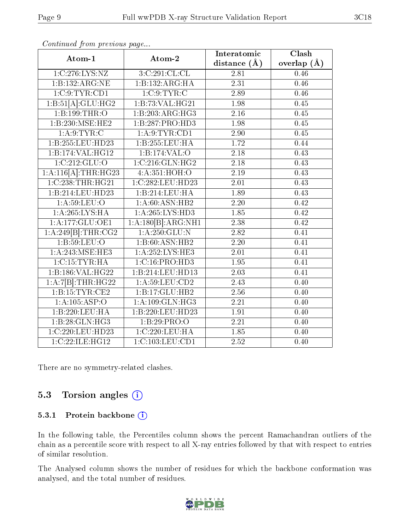| Atom-1                       | Atom-2              | Interatomic       | $\overline{\text{Clash}}$ |
|------------------------------|---------------------|-------------------|---------------------------|
|                              |                     | distance $(A)$    | overlap $(\AA)$           |
| 1:C:276:LYS:NZ               | 3:C:291:CL:CL       | 2.81              | 0.46                      |
| 1:B:132:ARG:NE               | 1:B:132:ARG:HA      | 2.31              | 0.46                      |
| 1:C:9:TYR:CD1                | 1:C:9:TYR:C         | 2.89              | 0.46                      |
| 1:B:51[A]:GLU:HG2            | 1:B:73:VAL:HG21     | 1.98              | 0.45                      |
| 1:B:199:THR:O                | 1:B:203:ARG:HG3     | 2.16              | 0.45                      |
| 1:B:230:MSE:HE2              | 1:B:287:PRO:HD3     | 1.98              | 0.45                      |
| 1: A:9: TYR: C               | 1: A:9: TYR: CD1    | 2.90              | 0.45                      |
| 1:B:255:LEU:HD23             | 1:B:255:LEU:HA      | 1.72              | 0.44                      |
| 1:B:174:VAL:HG12             | 1:B:174:VAL:O       | 2.18              | 0.43                      |
| $1:\overline{C:212:GLU:O}$   | 1:C:216:GLN:HG2     | 2.18              | 0.43                      |
| $1:A:116[A]:\text{THR}:HG23$ | 4:A:351:HOH:O       | 2.19              | 0.43                      |
| 1:C:238:THR:HG21             | 1:C:282:LEU:HD23    | 2.01              | 0.43                      |
| 1:B:214:LEU:HD23             | 1:B:214:LEU:HA      | 1.89              | 0.43                      |
| 1: A:59: LEU:O               | 1: A:60: ASN:HB2    | 2.20              | 0.42                      |
| 1:A:265:LYS:HA               | 1: A:265:LYS:HD3    | 1.85              | 0.42                      |
| 1:A:177:GLU:OE1              | 1:A:180[B]:ARG:NH1  | 2.38              | 0.42                      |
| 1:A:249[B]:THR:CG2           | 1: A:250: GLU:N     | 2.82              | 0.41                      |
| 1:B:59:LEU:O                 | 1:B:60:ASN:HB2      | 2.20              | 0.41                      |
| 1: A:243:MSE:HE3             | 1: A: 252: LYS: HE3 | $\overline{2.01}$ | 0.41                      |
| 1:C:15:TYR:HA                | 1: C: 16: PRO: HD3  | 1.95              | 0.41                      |
| 1:B:186:VAL:HG22             | 1:B:214:LEU:HD13    | $\overline{2.03}$ | $\overline{0.41}$         |
| 1:A:7[B]:THR:HG22            | 1:A:59:LEU:CD2      | 2.43              | 0.40                      |
| 1:B:15:TYR:CE2               | 1:B:17:GLU:HB2      | 2.56              | 0.40                      |
| 1:A:105:ASP:O                | 1: A:109: GLN: HG3  | 2.21              | 0.40                      |
| 1:B:220:LEU:HA               | 1:B:220:LEU:HD23    | 1.91              | 0.40                      |
| 1:B:28:GLN:HG3               | 1:B:29:PRO:O        | 2.21              | 0.40                      |
| 1:C:220:LEU:HD23             | 1:C:220:LEU:HA      | 1.85              | 0.40                      |
| 1:C:22:ILE:HG12              | 1:C:103:LEU:CD1     | 2.52              | 0.40                      |

Continued from previous page...

There are no symmetry-related clashes.

### 5.3 Torsion angles  $(i)$

#### 5.3.1 Protein backbone (i)

In the following table, the Percentiles column shows the percent Ramachandran outliers of the chain as a percentile score with respect to all X-ray entries followed by that with respect to entries of similar resolution.

The Analysed column shows the number of residues for which the backbone conformation was analysed, and the total number of residues.

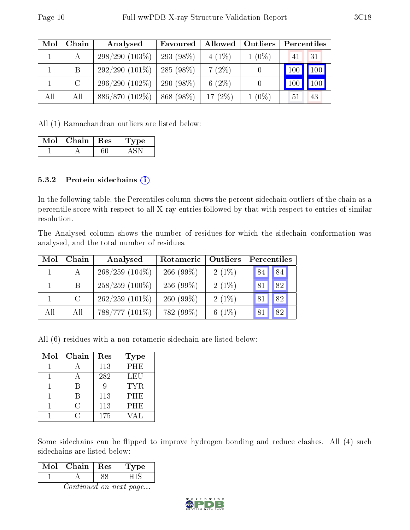| Mol | Chain   | Analysed         | Favoured     | Allowed   | <b>Outliers</b> | Percentiles |
|-----|---------|------------------|--------------|-----------|-----------------|-------------|
|     | А       | $298/290(103\%)$ | 293 $(98\%)$ | $4(1\%)$  | $1(0\%)$        | 31<br>41    |
|     | B       | $292/290(101\%)$ | 285(98%)     | $7(2\%)$  |                 | 100<br>100  |
|     | $\rm C$ | $296/290(102\%)$ | 290 $(98\%)$ | 6 $(2\%)$ |                 | 100         |
| All | All     | $886/870(102\%)$ | 868 (98%)    | 17(2%)    | $1(0\%)$        | 51<br>43    |

All (1) Ramachandran outliers are listed below:

| Mol | Chain | $\operatorname{Res}$ | vpe |
|-----|-------|----------------------|-----|
|     |       |                      |     |

#### 5.3.2 Protein sidechains  $(i)$

In the following table, the Percentiles column shows the percent sidechain outliers of the chain as a percentile score with respect to all X-ray entries followed by that with respect to entries of similar resolution.

The Analysed column shows the number of residues for which the sidechain conformation was analysed, and the total number of residues.

| Mol | Chain         | Analysed          | Rotameric    | Outliers | Percentiles |    |
|-----|---------------|-------------------|--------------|----------|-------------|----|
|     |               | $268/259$ (104\%) | 266 $(99\%)$ | $2(1\%)$ | 84          | 84 |
|     | B.            | $258/259$ (100%)  | $256(99\%)$  | $2(1\%)$ | 81          | 82 |
|     | $\mathcal{C}$ | $262/259$ (101\%) | $260(99\%)$  | $2(1\%)$ | 81          | 82 |
| All | All           | 788/777 (101\%)   | 782 (99%)    | 6 $(1%)$ |             | 82 |

All (6) residues with a non-rotameric sidechain are listed below:

| Mol | Chain | Res | <b>Type</b> |
|-----|-------|-----|-------------|
|     |       | 113 | PHE         |
|     |       | 282 | LEU         |
|     |       |     | <b>TYR</b>  |
|     |       | 113 | <b>PHE</b>  |
|     | C     | 113 | <b>PHE</b>  |
|     |       | 175 | VAL         |

Some sidechains can be flipped to improve hydrogen bonding and reduce clashes. All (4) such sidechains are listed below:

| Mol | Chain | Res | $^{\circ}$ pe |
|-----|-------|-----|---------------|
|     |       |     |               |

Continued on next page...

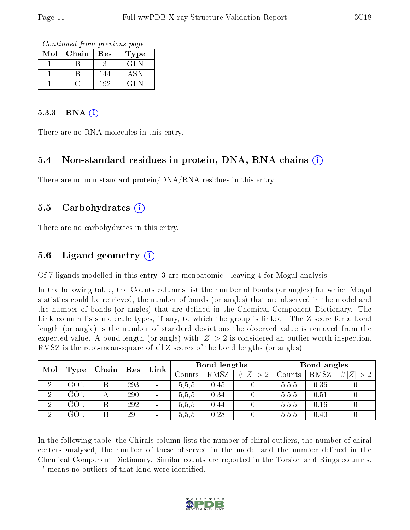Continued from previous page...

| Mol | Chain | Res | Type  |
|-----|-------|-----|-------|
|     |       |     | GLN   |
|     |       | 144 | ASN   |
|     |       | 192 | '21.N |

#### $5.3.3$  RNA  $(i)$

There are no RNA molecules in this entry.

#### 5.4 Non-standard residues in protein, DNA, RNA chains (i)

There are no non-standard protein/DNA/RNA residues in this entry.

#### 5.5 Carbohydrates (i)

There are no carbohydrates in this entry.

### 5.6 Ligand geometry (i)

Of 7 ligands modelled in this entry, 3 are monoatomic - leaving 4 for Mogul analysis.

In the following table, the Counts columns list the number of bonds (or angles) for which Mogul statistics could be retrieved, the number of bonds (or angles) that are observed in the model and the number of bonds (or angles) that are dened in the Chemical Component Dictionary. The Link column lists molecule types, if any, to which the group is linked. The Z score for a bond length (or angle) is the number of standard deviations the observed value is removed from the expected value. A bond length (or angle) with  $|Z| > 2$  is considered an outlier worth inspection. RMSZ is the root-mean-square of all Z scores of the bond lengths (or angles).

| Mol            | Link<br>Chain<br>$\mid$ Res |   | Bond lengths |                          |                   |      | Bond angles |        |      |             |
|----------------|-----------------------------|---|--------------|--------------------------|-------------------|------|-------------|--------|------|-------------|
|                | Type                        |   |              |                          | $\mathrm{Counts}$ | RMSZ | # $ Z  > 2$ | Counts | RMSZ | # $ Z  > 2$ |
| ച              | GOL                         | Β | 293          | $\overline{\phantom{a}}$ | 5,5,5             | 0.45 |             | 5.5,5  | 0.36 |             |
| $\overline{2}$ | GOL                         |   | 290          | $\overline{\phantom{a}}$ | 5,5,5             | 0.34 |             | 5,5,5  | 0.51 |             |
| $\overline{2}$ | GOL                         | Β | 292          | $\overline{\phantom{a}}$ | 5,5,5             | 0.44 |             | 5,5,5  | 0.16 |             |
| ച              | GOL                         | Β | 291          | $\overline{\phantom{a}}$ | 5,5,5             | 0.28 |             | 5,5,5  | 0.40 |             |

In the following table, the Chirals column lists the number of chiral outliers, the number of chiral centers analysed, the number of these observed in the model and the number defined in the Chemical Component Dictionary. Similar counts are reported in the Torsion and Rings columns. '-' means no outliers of that kind were identified.

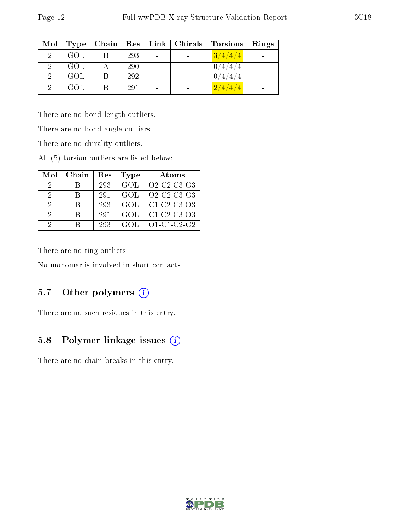| Mol            | Type | Chain | $\operatorname{Res}$ |                          | Link   Chirals | Torsions | Rings |
|----------------|------|-------|----------------------|--------------------------|----------------|----------|-------|
| $\overline{2}$ | GOL  |       | 293                  | $\sim$                   | $\sim$         | 3/4/4/4  |       |
| 2              | GOL  | А     | <b>290</b>           |                          |                | 0/4/4/4  |       |
|                | GOL  |       | 292                  | $\overline{\phantom{0}}$ | $\sim$         | 0/4/4/4  |       |
| $\mathcal{D}$  | GOL  |       | 291                  |                          |                | 2/4/4/4  |       |

There are no bond length outliers.

There are no bond angle outliers.

There are no chirality outliers.

All (5) torsion outliers are listed below:

| Mol                         | Chain | Res | Type | Atoms               |
|-----------------------------|-------|-----|------|---------------------|
| 2                           |       | 293 | GOL  | Q2-C2-C3-Q3         |
| $\mathcal{D}_{\mathcal{L}}$ | R     | 291 | GOL  | Q2-C2-C3-Q3         |
| 2                           | R     | 293 | GOL  | $C1-C2-C3-O3$       |
| $\Omega$                    | R     | 291 | GOL. | $C1-C2-C3-O3$       |
| $\Omega$                    | R     | 293 | GOL  | $O1 - C1 - C2 - O2$ |

There are no ring outliers.

No monomer is involved in short contacts.

### 5.7 [O](https://www.wwpdb.org/validation/2017/XrayValidationReportHelp#nonstandard_residues_and_ligands)ther polymers (i)

There are no such residues in this entry.

### 5.8 Polymer linkage issues (i)

There are no chain breaks in this entry.

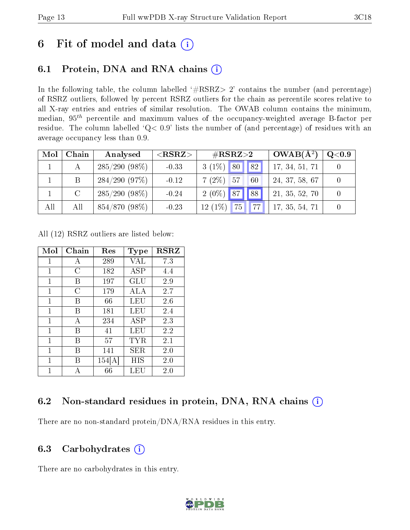# 6 Fit of model and data  $(i)$

# 6.1 Protein, DNA and RNA chains  $(i)$

In the following table, the column labelled  $#RSRZ> 2'$  contains the number (and percentage) of RSRZ outliers, followed by percent RSRZ outliers for the chain as percentile scores relative to all X-ray entries and entries of similar resolution. The OWAB column contains the minimum, median,  $95<sup>th</sup>$  percentile and maximum values of the occupancy-weighted average B-factor per residue. The column labelled ' $Q< 0.9$ ' lists the number of (and percentage) of residues with an average occupancy less than 0.9.

| Mol | Chain         | Analysed        | ${ <\hspace{-1.5pt}{\mathrm{RSRZ}}\hspace{-1.5pt}>}$ | $\rm \#RSRZ{>}2$     | $OWAB(A^2)$    | $\rm Q\textcolor{black}{<}0.9$ $\mid$ |
|-----|---------------|-----------------|------------------------------------------------------|----------------------|----------------|---------------------------------------|
|     |               | $285/290(98\%)$ | $-0.33$                                              | $3(1\%)$ 80   82     | 17, 34, 51, 71 |                                       |
|     | B.            | 284/290(97%)    | $-0.12$                                              | $7(2\%)$ 57<br>60    | 24, 37, 58, 67 |                                       |
|     | $\mathcal{C}$ | $285/290(98\%)$ | $-0.24$                                              | $2(0\%)$ 87 88       | 21, 35, 52, 70 |                                       |
| All | All           | 854/870 (98%)   | $-0.23$                                              | $12(1\%)$ 75<br>  77 | 17, 35, 54, 71 |                                       |

All (12) RSRZ outliers are listed below:

| Mol          | Chain | Res    | Type        | <b>RSRZ</b> |  |
|--------------|-------|--------|-------------|-------------|--|
| 1            | А     | 289    | VAL         | 7.3         |  |
| 1            | С     | 182    | ASP         | 4.4         |  |
| 1            | В     | 197    | GLU         | 2.9         |  |
| 1            | С     | 179    | ALA         | 2.7         |  |
| $\mathbf{1}$ | В     | 66     | LEU         | 2.6         |  |
| 1            | В     | 181    | LEU         | 2.4         |  |
| 1            | А     | 234    | ASP         | 2.3         |  |
| 1            | B     | 41     | LEU         | 2.2         |  |
| 1            | В     | 57     | TYR         | 2.1         |  |
| 1            | В     | 141    | ${\rm SER}$ | 2.0         |  |
| 1            | В     | 154[A] | НIS         | 2.0         |  |
| 1            | А     | 66     | LEU         | 2.0         |  |

### 6.2 Non-standard residues in protein, DNA, RNA chains  $(i)$

There are no non-standard protein/DNA/RNA residues in this entry.

### 6.3 Carbohydrates (i)

There are no carbohydrates in this entry.